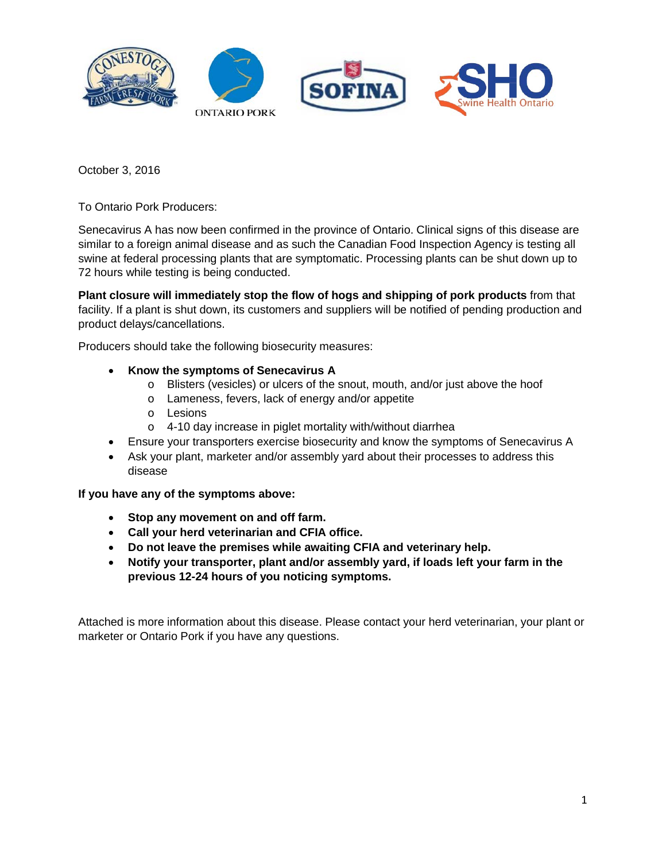

October 3, 2016

To Ontario Pork Producers:

Senecavirus A has now been confirmed in the province of Ontario. Clinical signs of this disease are similar to a foreign animal disease and as such the Canadian Food Inspection Agency is testing all swine at federal processing plants that are symptomatic. Processing plants can be shut down up to 72 hours while testing is being conducted.

**Plant closure will immediately stop the flow of hogs and shipping of pork products** from that facility. If a plant is shut down, its customers and suppliers will be notified of pending production and product delays/cancellations.

Producers should take the following biosecurity measures:

### • **Know the symptoms of Senecavirus A**

- o Blisters (vesicles) or ulcers of the snout, mouth, and/or just above the hoof
- o Lameness, fevers, lack of energy and/or appetite
- o Lesions
- o 4-10 day increase in piglet mortality with/without diarrhea
- Ensure your transporters exercise biosecurity and know the symptoms of Senecavirus A
- Ask your plant, marketer and/or assembly yard about their processes to address this disease

**If you have any of the symptoms above:**

- **Stop any movement on and off farm.**
- **Call your herd veterinarian and CFIA office.**
- **Do not leave the premises while awaiting CFIA and veterinary help.**
- **Notify your transporter, plant and/or assembly yard, if loads left your farm in the previous 12-24 hours of you noticing symptoms.**

Attached is more information about this disease. Please contact your herd veterinarian, your plant or marketer or Ontario Pork if you have any questions.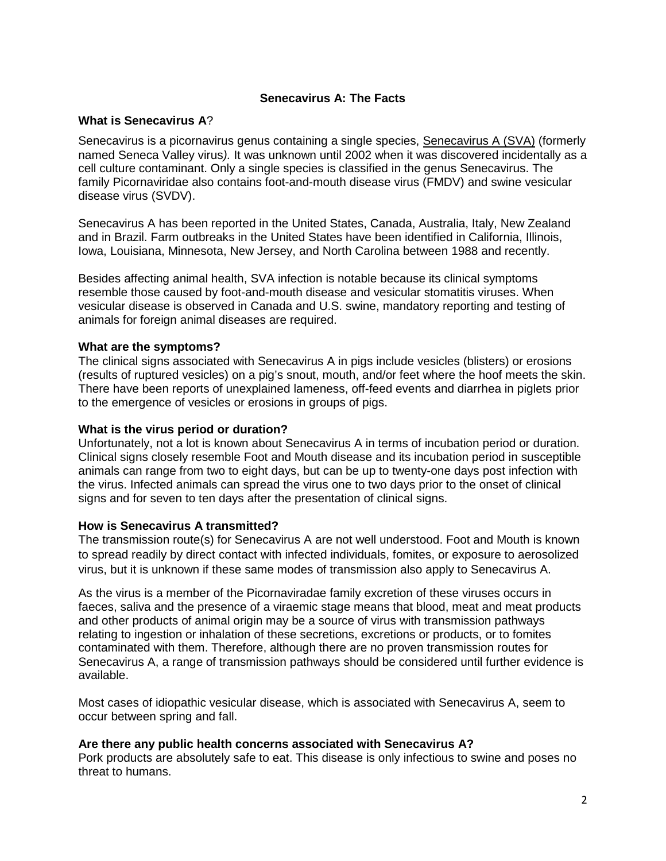# **Senecavirus A: The Facts**

### **What is Senecavirus A**?

Senecavirus is a picornavirus genus containing a single species, [Senecavirus A](http://www.picornaviridae.com/senecavirus/senecavirus_a/senecavirus_a.htm) (SVA) (formerly named Seneca Valley virus*).* It was unknown until 2002 when it was discovered incidentally as a cell culture contaminant. Only a single species is classified in the genus Senecavirus. The family Picornaviridae also contains foot-and-mouth disease virus (FMDV) and swine vesicular disease virus (SVDV).

Senecavirus A has been reported in the United States, Canada, Australia, Italy, New Zealand and in Brazil. Farm outbreaks in the United States have been identified in California, Illinois, Iowa, Louisiana, Minnesota, New Jersey, and North Carolina between 1988 and recently.

Besides affecting animal health, SVA infection is notable because its clinical symptoms resemble those caused by foot-and-mouth disease and vesicular stomatitis viruses. When vesicular disease is observed in Canada and U.S. swine, mandatory reporting and testing of animals for foreign animal diseases are required.

### **What are the symptoms?**

The clinical signs associated with Senecavirus A in pigs include vesicles (blisters) or erosions (results of ruptured vesicles) on a pig's snout, mouth, and/or feet where the hoof meets the skin. There have been reports of unexplained lameness, off-feed events and diarrhea in piglets prior to the emergence of vesicles or erosions in groups of pigs.

#### **What is the virus period or duration?**

Unfortunately, not a lot is known about Senecavirus A in terms of incubation period or duration. Clinical signs closely resemble Foot and Mouth disease and its incubation period in susceptible animals can range from two to eight days, but can be up to twenty-one days post infection with the virus. Infected animals can spread the virus one to two days prior to the onset of clinical signs and for seven to ten days after the presentation of clinical signs.

#### **How is Senecavirus A transmitted?**

The transmission route(s) for Senecavirus A are not well understood. Foot and Mouth is known to spread readily by direct contact with infected individuals, fomites, or exposure to aerosolized virus, but it is unknown if these same modes of transmission also apply to Senecavirus A.

As the virus is a member of the Picornaviradae family excretion of these viruses occurs in faeces, saliva and the presence of a viraemic stage means that blood, meat and meat products and other products of animal origin may be a source of virus with transmission pathways relating to ingestion or inhalation of these secretions, excretions or products, or to fomites contaminated with them. Therefore, although there are no proven transmission routes for Senecavirus A, a range of transmission pathways should be considered until further evidence is available.

Most cases of idiopathic vesicular disease, which is associated with Senecavirus A, seem to occur between spring and fall.

# **Are there any public health concerns associated with Senecavirus A?**

Pork products are absolutely safe to eat. This disease is only infectious to swine and poses no threat to humans.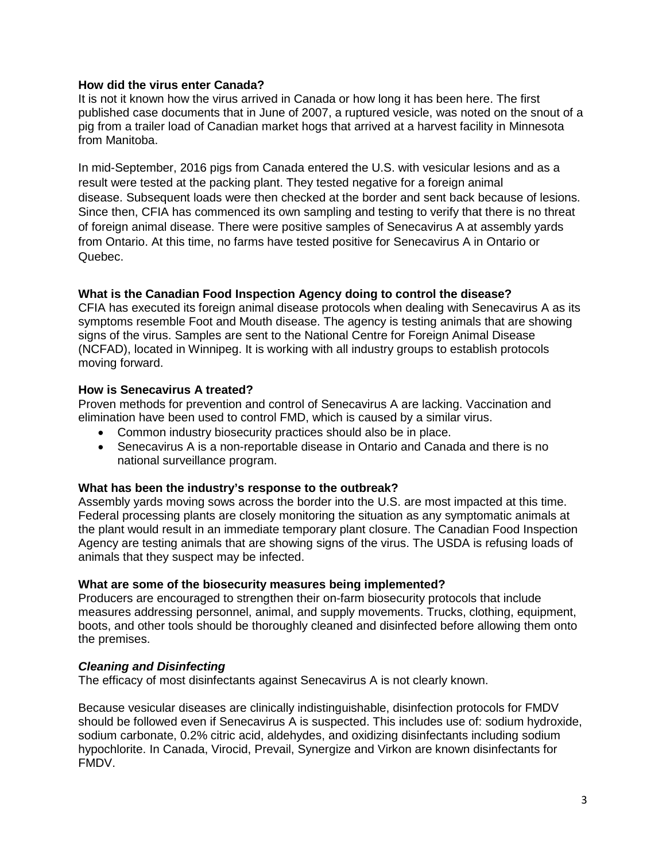## **How did the virus enter Canada?**

It is not it known how the virus arrived in Canada or how long it has been here. The first published case documents that in June of 2007, a ruptured vesicle, was noted on the snout of a pig from a trailer load of Canadian market hogs that arrived at a harvest facility in Minnesota from Manitoba.

In mid-September, 2016 pigs from Canada entered the U.S. with vesicular lesions and as a result were tested at the packing plant. They tested negative for a foreign animal disease. Subsequent loads were then checked at the border and sent back because of lesions. Since then, CFIA has commenced its own sampling and testing to verify that there is no threat of foreign animal disease. There were positive samples of Senecavirus A at assembly yards from Ontario. At this time, no farms have tested positive for Senecavirus A in Ontario or Quebec.

### **What is the Canadian Food Inspection Agency doing to control the disease?**

CFIA has executed its foreign animal disease protocols when dealing with Senecavirus A as its symptoms resemble Foot and Mouth disease. The agency is testing animals that are showing signs of the virus. Samples are sent to the National Centre for Foreign Animal Disease (NCFAD), located in Winnipeg. It is working with all industry groups to establish protocols moving forward.

### **How is Senecavirus A treated?**

Proven methods for prevention and control of Senecavirus A are lacking. Vaccination and elimination have been used to control FMD, which is caused by a similar virus.

- Common industry biosecurity practices should also be in place.
- Senecavirus A is a non-reportable disease in Ontario and Canada and there is no national surveillance program.

#### **What has been the industry's response to the outbreak?**

Assembly yards moving sows across the border into the U.S. are most impacted at this time. Federal processing plants are closely monitoring the situation as any symptomatic animals at the plant would result in an immediate temporary plant closure. The Canadian Food Inspection Agency are testing animals that are showing signs of the virus. The USDA is refusing loads of animals that they suspect may be infected.

#### **What are some of the biosecurity measures being implemented?**

Producers are encouraged to strengthen their on-farm biosecurity protocols that include measures addressing personnel, animal, and supply movements. Trucks, clothing, equipment, boots, and other tools should be thoroughly cleaned and disinfected before allowing them onto the premises.

#### *Cleaning and Disinfecting*

The efficacy of most disinfectants against Senecavirus A is not clearly known.

Because vesicular diseases are clinically indistinguishable, disinfection protocols for FMDV should be followed even if Senecavirus A is suspected. This includes use of: sodium hydroxide, sodium carbonate, 0.2% citric acid, aldehydes, and oxidizing disinfectants including sodium hypochlorite. In Canada, Virocid, Prevail, Synergize and Virkon are known disinfectants for FMDV.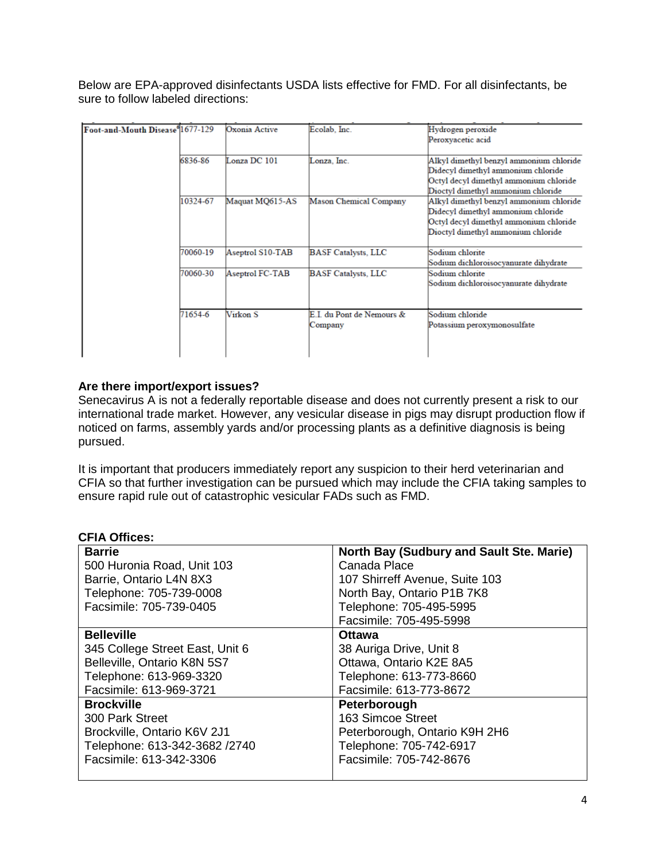Below are EPA-approved disinfectants USDA lists effective for FMD. For all disinfectants, be sure to follow labeled directions:

| Foot-and-Mouth Disease <sup>6</sup> 1677-129 |          | Oxonia Active    | Ecolab, Inc.                         | Hydrogen peroxide<br>Peroxyacetic acid                                                                                                                        |
|----------------------------------------------|----------|------------------|--------------------------------------|---------------------------------------------------------------------------------------------------------------------------------------------------------------|
|                                              | 6836-86  | Lonza DC 101     | Lonza, Inc.                          | Alkyl dimethyl benzyl ammonium chloride<br>Didecyl dimethyl ammonium chloride                                                                                 |
|                                              |          |                  |                                      | Octyl decyl dimethyl ammonium chloride<br>Dioctyl dimethyl ammonium chloride                                                                                  |
|                                              | 10324-67 | Maquat MQ615-AS  | <b>Mason Chemical Company</b>        | Alkyl dimethyl benzyl ammonium chloride<br>Didecyl dimethyl ammonium chloride<br>Octyl decyl dimethyl ammonium chloride<br>Dioctyl dimethyl ammonium chloride |
|                                              | 70060-19 | Aseptrol S10-TAB | <b>BASF Catalysts, LLC</b>           | Sodium chlorite                                                                                                                                               |
|                                              |          |                  |                                      | Sodium dichloroisocyanurate dihydrate                                                                                                                         |
|                                              | 70060-30 | Aseptrol FC-TAB  | <b>BASF Catalysts, LLC</b>           | Sodium chlorite<br>Sodium dichloroisocyanurate dihydrate                                                                                                      |
|                                              |          |                  |                                      |                                                                                                                                                               |
|                                              | 71654-6  | Virkon S         | E.I. du Pont de Nemours &<br>Company | Sodium chloride<br>Potassium peroxymonosulfate                                                                                                                |
|                                              |          |                  |                                      |                                                                                                                                                               |

# **Are there import/export issues?**

Senecavirus A is not a federally reportable disease and does not currently present a risk to our international trade market. However, any vesicular disease in pigs may disrupt production flow if noticed on farms, assembly yards and/or processing plants as a definitive diagnosis is being pursued.

It is important that producers immediately report any suspicion to their herd veterinarian and CFIA so that further investigation can be pursued which may include the CFIA taking samples to ensure rapid rule out of catastrophic vesicular FADs such as FMD.

## **CFIA Offices:**

| <b>Barrie</b>                   | North Bay (Sudbury and Sault Ste. Marie) |
|---------------------------------|------------------------------------------|
| 500 Huronia Road, Unit 103      | Canada Place                             |
| Barrie, Ontario L4N 8X3         | 107 Shirreff Avenue, Suite 103           |
| Telephone: 705-739-0008         | North Bay, Ontario P1B 7K8               |
| Facsimile: 705-739-0405         | Telephone: 705-495-5995                  |
|                                 | Facsimile: 705-495-5998                  |
| <b>Belleville</b>               | <b>Ottawa</b>                            |
| 345 College Street East, Unit 6 | 38 Auriga Drive, Unit 8                  |
| Belleville, Ontario K8N 5S7     | Ottawa, Ontario K2E 8A5                  |
| Telephone: 613-969-3320         | Telephone: 613-773-8660                  |
| Facsimile: 613-969-3721         | Facsimile: 613-773-8672                  |
| <b>Brockville</b>               | Peterborough                             |
| 300 Park Street                 | 163 Simcoe Street                        |
| Brockville, Ontario K6V 2J1     | Peterborough, Ontario K9H 2H6            |
| Telephone: 613-342-3682 /2740   | Telephone: 705-742-6917                  |
| Facsimile: 613-342-3306         | Facsimile: 705-742-8676                  |
|                                 |                                          |